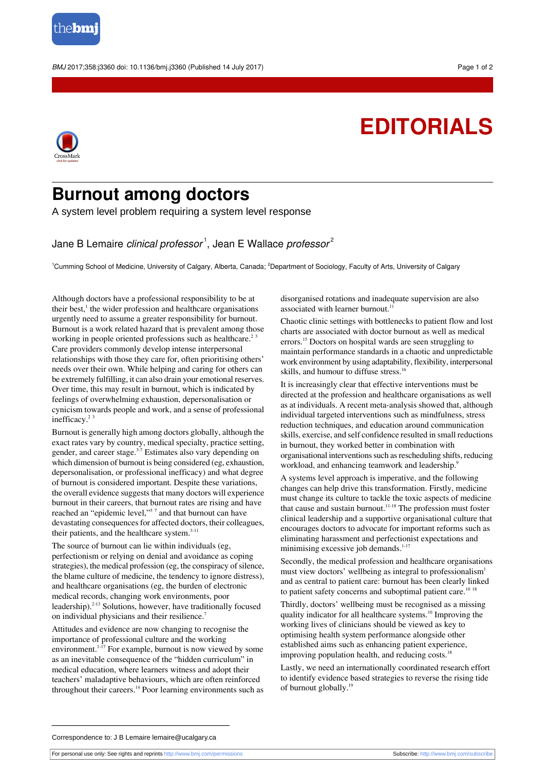

BMJ 2017;358:j3360 doi: 10.1136/bmj.j3360 (Published 14 July 2017) Page 1 of 2

## **EDITORIALS**



## **Burnout among doctors**

A system level problem requiring a system level response

Jane B Lemaire *clinical professor*  $^1$ , Jean E Wallace *professor* $^2$ 

<sup>1</sup>Cumming School of Medicine, University of Calgary, Alberta, Canada; <sup>2</sup>Department of Sociology, Faculty of Arts, University of Calgary

Although doctors have a professional responsibility to be at their best,<sup>1</sup> the wider profession and healthcare organisations urgently need to assume a greater responsibility for burnout. Burnout is a work related hazard that is prevalent among those working in people oriented professions such as healthcare.<sup>23</sup> Care providers commonly develop intense interpersonal relationships with those they care for, often prioritising others' needs over their own. While helping and caring for others can be extremely fulfilling, it can also drain your emotional reserves. Over time, this may result in burnout, which is indicated by feelings of overwhelming exhaustion, depersonalisation or cynicism towards people and work, and a sense of professional inefficacy.<sup>23</sup>

Burnout is generally high among doctors globally, although the exact rates vary by country, medical specialty, practice setting, gender, and career stage.<sup>3-7</sup> Estimates also vary depending on which dimension of burnout is being considered (eg, exhaustion, depersonalisation, or professional inefficacy) and what degree of burnout is considered important. Despite these variations, the overall evidence suggests that many doctors will experience burnout in their careers, that burnout rates are rising and have reached an "epidemic level,"<sup>57</sup> and that burnout can have devastating consequences for affected doctors, their colleagues, their patients, and the healthcare system.<sup>3-11</sup>

The source of burnout can lie within individuals (eg, perfectionism or relying on denial and avoidance as coping strategies), the medical profession (eg, the conspiracy of silence, the blame culture of medicine, the tendency to ignore distress), and healthcare organisations (eg, the burden of electronic medical records, changing work environments, poor leadership).<sup>2-13</sup> Solutions, however, have traditionally focused on individual physicians and their resilience.<sup>7</sup>

Attitudes and evidence are now changing to recognise the importance of professional culture and the working environment.<sup>1-17</sup> For example, burnout is now viewed by some as an inevitable consequence of the "hidden curriculum" in medical education, where learners witness and adopt their teachers' maladaptive behaviours, which are often reinforced throughout their careers.<sup>14</sup> Poor learning environments such as disorganised rotations and inadequate supervision are also associated with learner burnout.<sup>11</sup>

Chaotic clinic settings with bottlenecks to patient flow and lost charts are associated with doctor burnout as well as medical errors.<sup>15</sup> Doctors on hospital wards are seen struggling to maintain performance standards in a chaotic and unpredictable work environment by using adaptability, flexibility, interpersonal skills, and humour to diffuse stress.<sup>16</sup>

It is increasingly clear that effective interventions must be directed at the profession and healthcare organisations as well as at individuals. A recent meta-analysis showed that, although individual targeted interventions such as mindfulness, stress reduction techniques, and education around communication skills, exercise, and self confidence resulted in small reductions in burnout, they worked better in combination with organisational interventionssuch asrescheduling shifts, reducing workload, and enhancing teamwork and leadership.<sup>9</sup>

A systems level approach is imperative, and the following changes can help drive this transformation. Firstly, medicine must change its culture to tackle the toxic aspects of medicine that cause and sustain burnout.<sup>11-18</sup> The profession must foster clinical leadership and a supportive organisational culture that encourages doctors to advocate for important reforms such as eliminating harassment and perfectionist expectations and minimising excessive job demands.<sup>1-17</sup>

Secondly, the medical profession and healthcare organisations must view doctors' wellbeing as integral to professionalism<sup>1</sup> and as central to patient care: burnout has been clearly linked to patient safety concerns and suboptimal patient care.<sup>10 18</sup>

Thirdly, doctors' wellbeing must be recognised as a missing quality indicator for all healthcare systems.<sup>10</sup> Improving the working lives of clinicians should be viewed as key to optimising health system performance alongside other established aims such as enhancing patient experience, improving population health, and reducing costs. $18$ 

Lastly, we need an internationally coordinated research effort to identify evidence based strategies to reverse the rising tide of burnout globally.<sup>19</sup>

Correspondence to: J B Lemaire lemaire@ucalgary.ca